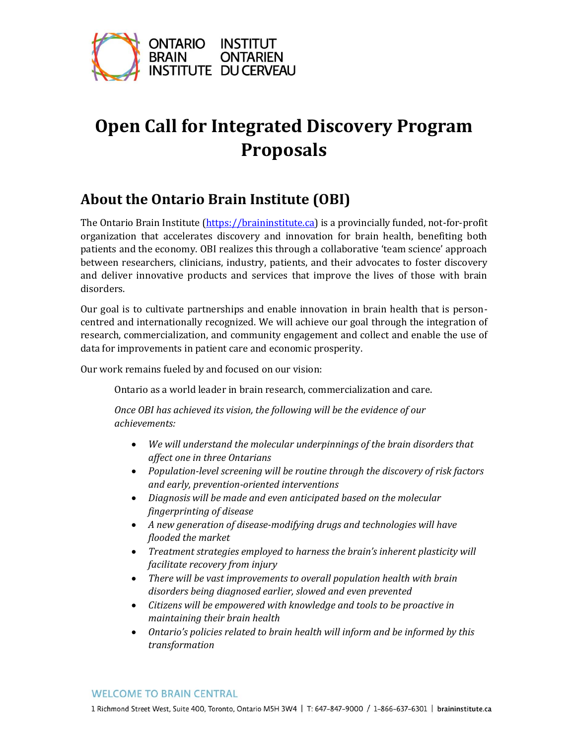

# **Open Call for Integrated Discovery Program Proposals**

# **About the Ontario Brain Institute (OBI)**

The Ontario Brain Institute [\(https://braininstitute.ca\)](https://braininstitute.ca/) is a provincially funded, not-for-profit organization that accelerates discovery and innovation for brain health, benefiting both patients and the economy. OBI realizes this through a collaborative 'team science' approach between researchers, clinicians, industry, patients, and their advocates to foster discovery and deliver innovative products and services that improve the lives of those with brain disorders.

Our goal is to cultivate partnerships and enable innovation in brain health that is personcentred and internationally recognized. We will achieve our goal through the integration of research, commercialization, and community engagement and collect and enable the use of data for improvements in patient care and economic prosperity.

Our work remains fueled by and focused on our vision:

Ontario as a world leader in brain research, commercialization and care.

*Once OBI has achieved its vision, the following will be the evidence of our achievements:*

- *We will understand the molecular underpinnings of the brain disorders that affect one in three Ontarians*
- *Population-level screening will be routine through the discovery of risk factors and early, prevention-oriented interventions*
- *Diagnosis will be made and even anticipated based on the molecular fingerprinting of disease*
- *A new generation of disease-modifying drugs and technologies will have flooded the market*
- *Treatment strategies employed to harness the brain's inherent plasticity will facilitate recovery from injury*
- *There will be vast improvements to overall population health with brain disorders being diagnosed earlier, slowed and even prevented*
- *Citizens will be empowered with knowledge and tools to be proactive in maintaining their brain health*
- *Ontario's policies related to brain health will inform and be informed by this transformation*

#### **WELCOME TO BRAIN CENTRAL**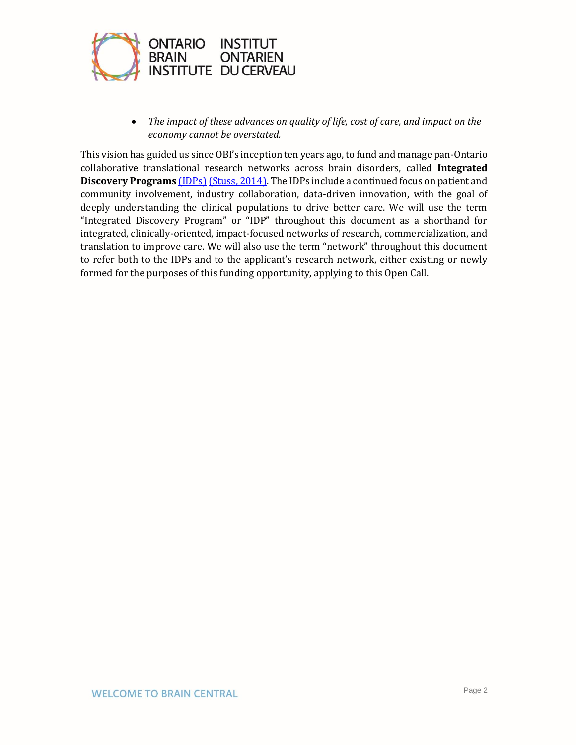

• *The impact of these advances on quality of life, cost of care, and impact on the economy cannot be overstated.*

This vision has guided us since OBI's inception ten years ago, to fund and manage pan-Ontario collaborative translational research networks across brain disorders, called **Integrated Discovery Programs** [\(IDPs\)](https://braininstitute.ca/research-data-sharing) [\(Stuss, 2014\).](https://www.cambridge.org/core/journals/canadian-journal-of-neurological-sciences/article/ontario-brain-institute-completing-the-circle/16B48380EC50614BEA500371C4F4A692) The IDPs include a continued focus on patient and community involvement, industry collaboration, data-driven innovation, with the goal of deeply understanding the clinical populations to drive better care. We will use the term "Integrated Discovery Program" or "IDP" throughout this document as a shorthand for integrated, clinically-oriented, impact-focused networks of research, commercialization, and translation to improve care. We will also use the term "network" throughout this document to refer both to the IDPs and to the applicant's research network, either existing or newly formed for the purposes of this funding opportunity, applying to this Open Call.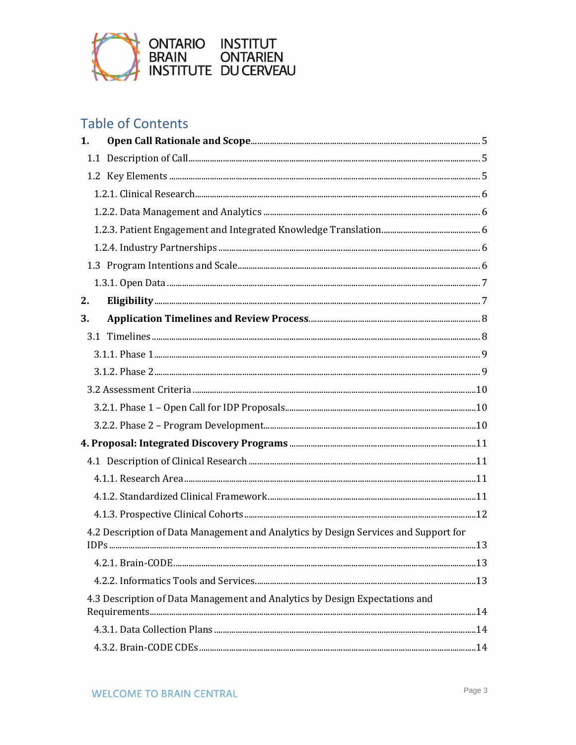

# **Table of Contents**

| 1. |                                                                                     |  |
|----|-------------------------------------------------------------------------------------|--|
|    |                                                                                     |  |
|    |                                                                                     |  |
|    |                                                                                     |  |
|    |                                                                                     |  |
|    |                                                                                     |  |
|    |                                                                                     |  |
|    |                                                                                     |  |
|    |                                                                                     |  |
| 2. |                                                                                     |  |
| 3. |                                                                                     |  |
|    |                                                                                     |  |
|    |                                                                                     |  |
|    |                                                                                     |  |
|    |                                                                                     |  |
|    |                                                                                     |  |
|    |                                                                                     |  |
|    |                                                                                     |  |
|    |                                                                                     |  |
|    |                                                                                     |  |
|    |                                                                                     |  |
|    |                                                                                     |  |
|    | 4.2 Description of Data Management and Analytics by Design Services and Support for |  |
|    |                                                                                     |  |
|    |                                                                                     |  |
|    |                                                                                     |  |
|    | 4.3 Description of Data Management and Analytics by Design Expectations and         |  |
|    |                                                                                     |  |
|    |                                                                                     |  |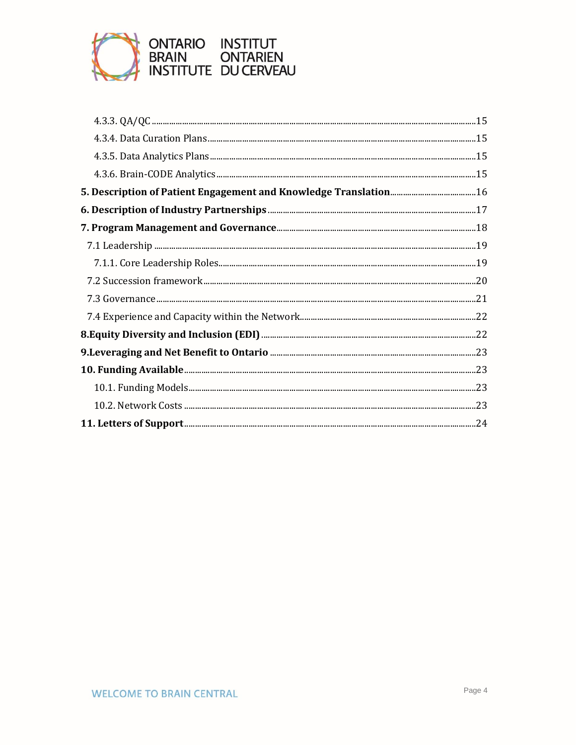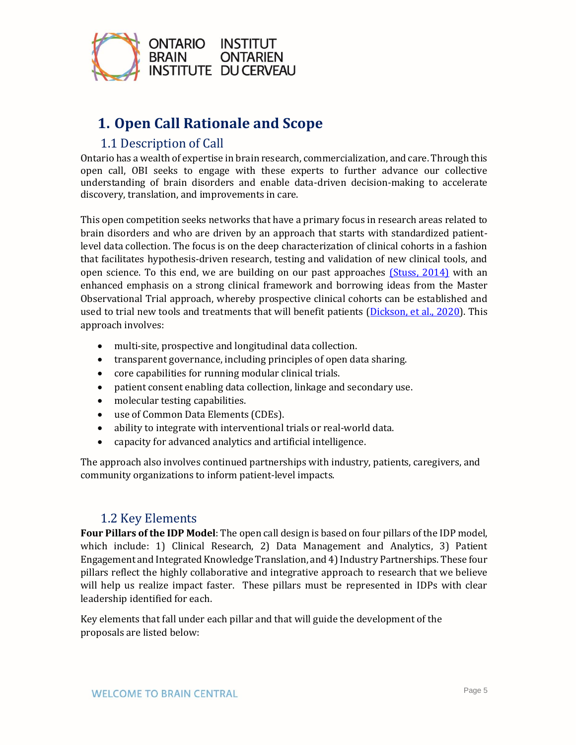

# <span id="page-4-0"></span>**1. Open Call Rationale and Scope**

### 1.1 Description of Call

<span id="page-4-1"></span>Ontario has a wealth of expertise in brain research, commercialization, and care. Through this open call, OBI seeks to engage with these experts to further advance our collective understanding of brain disorders and enable data-driven decision-making to accelerate discovery, translation, and improvements in care.

This open competition seeks networks that have a primary focus in research areas related to brain disorders and who are driven by an approach that starts with standardized patientlevel data collection. The focus is on the deep characterization of clinical cohorts in a fashion that facilitates hypothesis-driven research, testing and validation of new clinical tools, and open science. To this end, we are building on our past approaches [\(Stuss, 2014\)](https://www.cambridge.org/core/journals/canadian-journal-of-neurological-sciences/article/ontario-brain-institute-completing-the-circle/16B48380EC50614BEA500371C4F4A692) with an enhanced emphasis on a strong clinical framework and borrowing ideas from the Master Observational Trial approach, whereby prospective clinical cohorts can be established and used to trial new tools and treatments that will benefit patients [\(Dickson, et al., 2020\)](https://www.sciencedirect.com/science/article/pii/S0092867419313716). This approach involves:

- multi-site, prospective and longitudinal data collection.
- transparent governance, including principles of open data sharing.
- core capabilities for running modular clinical trials.
- patient consent enabling data collection, linkage and secondary use.
- molecular testing capabilities.
- use of Common Data Elements (CDEs).
- ability to integrate with interventional trials or real-world data.
- capacity for advanced analytics and artificial intelligence.

The approach also involves continued partnerships with industry, patients, caregivers, and community organizations to inform patient-level impacts.

### 1.2 Key Elements

<span id="page-4-2"></span>**Four Pillars of the IDP Model**: The open call design is based on four pillars of the IDP model, which include: 1) Clinical Research, 2) Data Management and Analytics, 3) Patient Engagement and Integrated Knowledge Translation, and 4) Industry Partnerships. These four pillars reflect the highly collaborative and integrative approach to research that we believe will help us realize impact faster. These pillars must be represented in IDPs with clear leadership identified for each.

Key elements that fall under each pillar and that will guide the development of the proposals are listed below: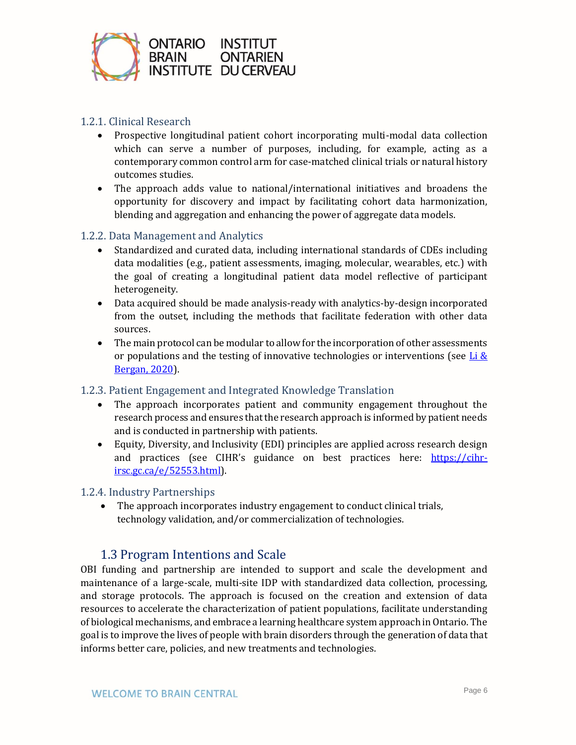

#### <span id="page-5-0"></span>1.2.1. Clinical Research

- Prospective longitudinal patient cohort incorporating multi-modal data collection which can serve a number of purposes, including, for example, acting as a contemporary common control arm for case-matched clinical trials or natural history outcomes studies.
- The approach adds value to national/international initiatives and broadens the opportunity for discovery and impact by facilitating cohort data harmonization, blending and aggregation and enhancing the power of aggregate data models.

#### <span id="page-5-1"></span>1.2.2. Data Management and Analytics

- Standardized and curated data, including international standards of CDEs including data modalities (e.g., patient assessments, imaging, molecular, wearables, etc.) with the goal of creating a longitudinal patient data model reflective of participant heterogeneity.
- Data acquired should be made analysis-ready with analytics-by-design incorporated from the outset, including the methods that facilitate federation with other data sources.
- The main protocol can be modular to allow for the incorporation of other assessments or populations and the testing of innovative technologies or interventions (see  $\underline{\text{Li}} \&$ [Bergan, 2020\)](https://acsjournals.onlinelibrary.wiley.com/doi/full/10.1002/cncr.33205).

#### <span id="page-5-2"></span>1.2.3. Patient Engagement and Integrated Knowledge Translation

- The approach incorporates patient and community engagement throughout the research process and ensures that the research approach is informed by patient needs and is conducted in partnership with patients.
- Equity, Diversity, and Inclusivity (EDI) principles are applied across research design and practices (see CIHR's guidance on best practices here: [https://cihr](https://cihr-irsc.gc.ca/e/52553.html)[irsc.gc.ca/e/52553.html\)](https://cihr-irsc.gc.ca/e/52553.html).

#### <span id="page-5-3"></span>1.2.4. Industry Partnerships

• The approach incorporates industry engagement to conduct clinical trials, technology validation, and/or commercialization of technologies.

### 1.3 Program Intentions and Scale

<span id="page-5-4"></span>OBI funding and partnership are intended to support and scale the development and maintenance of a large-scale, multi-site IDP with standardized data collection, processing, and storage protocols. The approach is focused on the creation and extension of data resources to accelerate the characterization of patient populations, facilitate understanding of biological mechanisms, and embrace a learning healthcare system approach in Ontario. The goal is to improve the lives of people with brain disorders through the generation of data that informs better care, policies, and new treatments and technologies.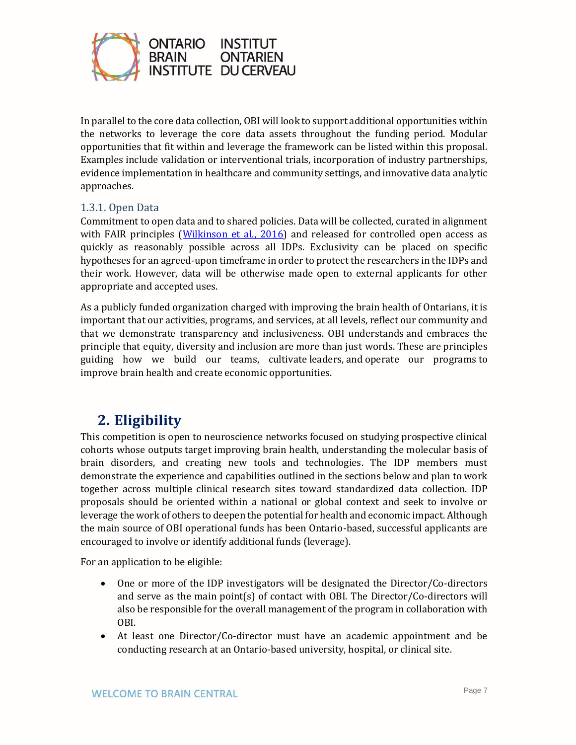

In parallel to the core data collection, OBI will look to support additional opportunities within the networks to leverage the core data assets throughout the funding period. Modular opportunities that fit within and leverage the framework can be listed within this proposal. Examples include validation or interventional trials, incorporation of industry partnerships, evidence implementation in healthcare and community settings, and innovative data analytic approaches.

#### <span id="page-6-0"></span>1.3.1. Open Data

Commitment to open data and to shared policies. Data will be collected, curated in alignment with FAIR principles [\(Wilkinson et al., 2016\)](https://www.nature.com/articles/sdata201618) and released for controlled open access as quickly as reasonably possible across all IDPs. Exclusivity can be placed on specific hypotheses for an agreed-upon timeframe in order to protect the researchers in the IDPs and their work. However, data will be otherwise made open to external applicants for other appropriate and accepted uses.

As a publicly funded organization charged with improving the brain health of Ontarians, it is important that our activities, programs, and services, at all levels, reflect our community and that we demonstrate transparency and inclusiveness. OBI understands and embraces the principle that equity, diversity and inclusion are more than just words. These are principles guiding how we build our teams, cultivate leaders, and operate our programs to improve brain health and create economic opportunities.

### <span id="page-6-1"></span>**2. Eligibility**

This competition is open to neuroscience networks focused on studying prospective clinical cohorts whose outputs target improving brain health, understanding the molecular basis of brain disorders, and creating new tools and technologies. The IDP members must demonstrate the experience and capabilities outlined in the sections below and plan to work together across multiple clinical research sites toward standardized data collection. IDP proposals should be oriented within a national or global context and seek to involve or leverage the work of others to deepen the potential for health and economic impact. Although the main source of OBI operational funds has been Ontario-based, successful applicants are encouraged to involve or identify additional funds (leverage).

For an application to be eligible:

- One or more of the IDP investigators will be designated the Director/Co-directors and serve as the main point(s) of contact with OBI. The Director/Co-directors will also be responsible for the overall management of the program in collaboration with OBI.
- At least one Director/Co-director must have an academic appointment and be conducting research at an Ontario-based university, hospital, or clinical site.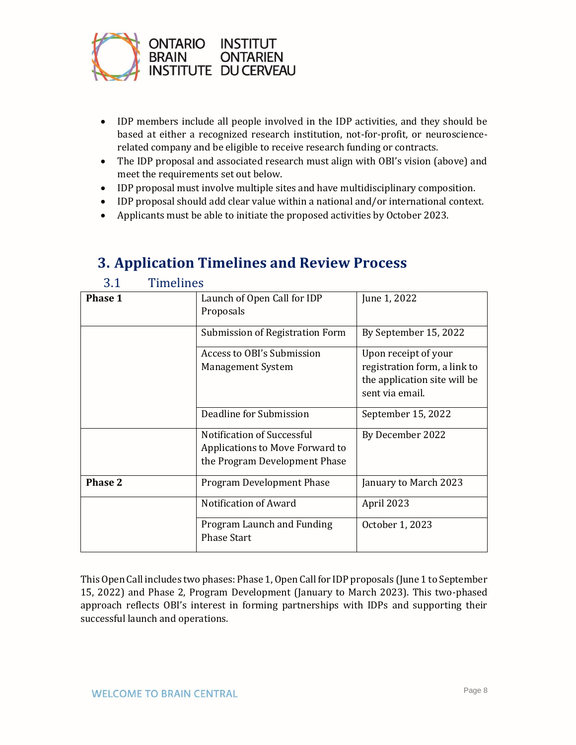

3.1 Timelines

- IDP members include all people involved in the IDP activities, and they should be based at either a recognized research institution, not-for-profit, or neurosciencerelated company and be eligible to receive research funding or contracts.
- The IDP proposal and associated research must align with OBI's vision (above) and meet the requirements set out below.
- IDP proposal must involve multiple sites and have multidisciplinary composition.
- IDP proposal should add clear value within a national and/or international context.
- Applicants must be able to initiate the proposed activities by October 2023.

<span id="page-7-1"></span>

| J.L<br>THILLING |                                                                                                |                                                                                                         |
|-----------------|------------------------------------------------------------------------------------------------|---------------------------------------------------------------------------------------------------------|
| <b>Phase 1</b>  | Launch of Open Call for IDP<br>Proposals                                                       | June 1, 2022                                                                                            |
|                 | Submission of Registration Form                                                                | By September 15, 2022                                                                                   |
|                 | Access to OBI's Submission<br><b>Management System</b>                                         | Upon receipt of your<br>registration form, a link to<br>the application site will be<br>sent via email. |
|                 | Deadline for Submission                                                                        | September 15, 2022                                                                                      |
|                 | Notification of Successful<br>Applications to Move Forward to<br>the Program Development Phase | By December 2022                                                                                        |
| <b>Phase 2</b>  | <b>Program Development Phase</b>                                                               | January to March 2023                                                                                   |
|                 | Notification of Award                                                                          | April 2023                                                                                              |
|                 | Program Launch and Funding<br><b>Phase Start</b>                                               | October 1, 2023                                                                                         |

# <span id="page-7-0"></span>**3. Application Timelines and Review Process**

This Open Call includes two phases: Phase 1, Open Call for IDP proposals (June 1 to September 15, 2022) and Phase 2, Program Development (January to March 2023). This two-phased approach reflects OBI's interest in forming partnerships with IDPs and supporting their successful launch and operations.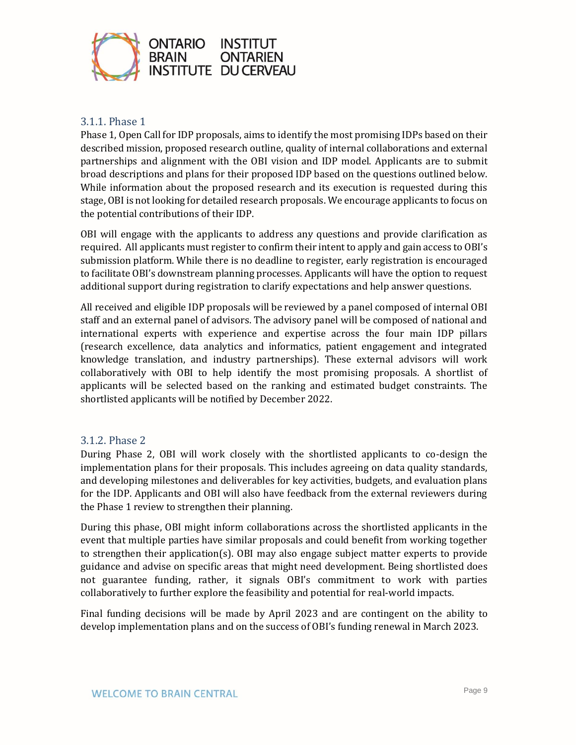

#### <span id="page-8-0"></span>3.1.1. Phase 1

Phase 1, Open Call for IDP proposals, aims to identify the most promising IDPs based on their described mission, proposed research outline, quality of internal collaborations and external partnerships and alignment with the OBI vision and IDP model. Applicants are to submit broad descriptions and plans for their proposed IDP based on the questions outlined below. While information about the proposed research and its execution is requested during this stage, OBI is not looking for detailed research proposals. We encourage applicants to focus on the potential contributions of their IDP.

OBI will engage with the applicants to address any questions and provide clarification as required. All applicants must register to confirm their intent to apply and gain access to OBI's submission platform. While there is no deadline to register, early registration is encouraged to facilitate OBI's downstream planning processes. Applicants will have the option to request additional support during registration to clarify expectations and help answer questions.

All received and eligible IDP proposals will be reviewed by a panel composed of internal OBI staff and an external panel of advisors. The advisory panel will be composed of national and international experts with experience and expertise across the four main IDP pillars (research excellence, data analytics and informatics, patient engagement and integrated knowledge translation, and industry partnerships). These external advisors will work collaboratively with OBI to help identify the most promising proposals. A shortlist of applicants will be selected based on the ranking and estimated budget constraints. The shortlisted applicants will be notified by December 2022.

#### <span id="page-8-1"></span>3.1.2. Phase 2

During Phase 2, OBI will work closely with the shortlisted applicants to co-design the implementation plans for their proposals. This includes agreeing on data quality standards, and developing milestones and deliverables for key activities, budgets, and evaluation plans for the IDP. Applicants and OBI will also have feedback from the external reviewers during the Phase 1 review to strengthen their planning.

During this phase, OBI might inform collaborations across the shortlisted applicants in the event that multiple parties have similar proposals and could benefit from working together to strengthen their application(s). OBI may also engage subject matter experts to provide guidance and advise on specific areas that might need development. Being shortlisted does not guarantee funding, rather, it signals OBI's commitment to work with parties collaboratively to further explore the feasibility and potential for real-world impacts.

Final funding decisions will be made by April 2023 and are contingent on the ability to develop implementation plans and on the success of OBI's funding renewal in March 2023.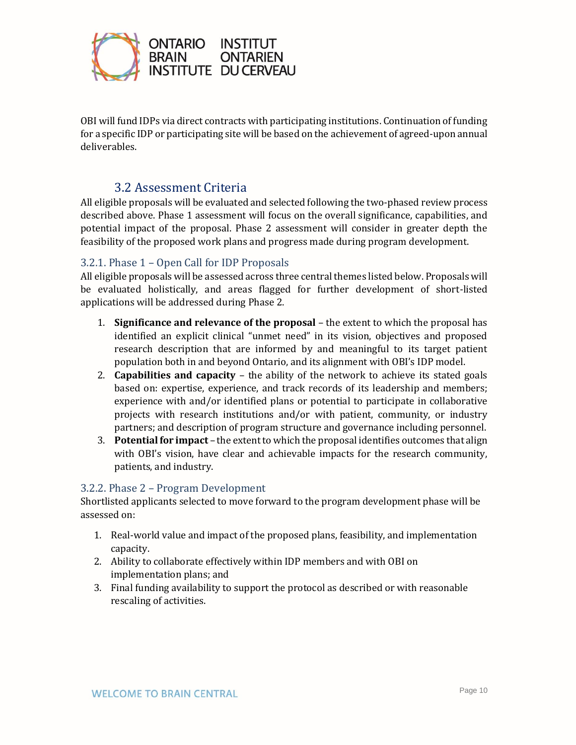

OBI will fund IDPs via direct contracts with participating institutions. Continuation of funding for a specific IDP or participating site will be based on the achievement of agreed-upon annual deliverables.

### 3.2 Assessment Criteria

<span id="page-9-0"></span>All eligible proposals will be evaluated and selected following the two-phased review process described above. Phase 1 assessment will focus on the overall significance, capabilities, and potential impact of the proposal. Phase 2 assessment will consider in greater depth the feasibility of the proposed work plans and progress made during program development.

#### <span id="page-9-1"></span>3.2.1. Phase 1 – Open Call for IDP Proposals

All eligible proposals will be assessed across three central themes listed below. Proposals will be evaluated holistically, and areas flagged for further development of short-listed applications will be addressed during Phase 2.

- 1. **Significance and relevance of the proposal** the extent to which the proposal has identified an explicit clinical "unmet need" in its vision, objectives and proposed research description that are informed by and meaningful to its target patient population both in and beyond Ontario, and its alignment with OBI's IDP model.
- 2. **Capabilities and capacity**  the ability of the network to achieve its stated goals based on: expertise, experience, and track records of its leadership and members; experience with and/or identified plans or potential to participate in collaborative projects with research institutions and/or with patient, community, or industry partners; and description of program structure and governance including personnel.
- 3. **Potential for impact** the extent to which the proposal identifies outcomes that align with OBI's vision, have clear and achievable impacts for the research community, patients, and industry.

#### <span id="page-9-2"></span>3.2.2. Phase 2 – Program Development

Shortlisted applicants selected to move forward to the program development phase will be assessed on:

- 1. Real-world value and impact of the proposed plans, feasibility, and implementation capacity.
- 2. Ability to collaborate effectively within IDP members and with OBI on implementation plans; and
- 3. Final funding availability to support the protocol as described or with reasonable rescaling of activities.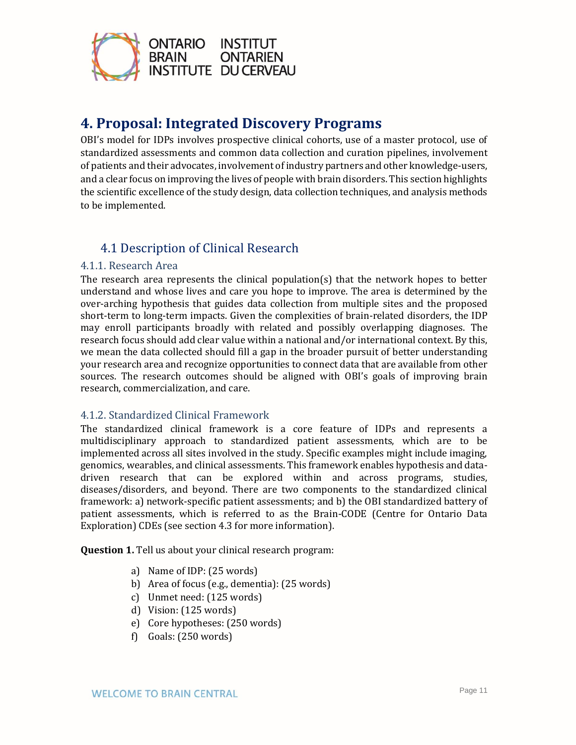

### <span id="page-10-0"></span>**4. Proposal: Integrated Discovery Programs**

OBI's model for IDPs involves prospective clinical cohorts, use of a master protocol, use of standardized assessments and common data collection and curation pipelines, involvement of patients and their advocates, involvement of industry partners and other knowledge-users, and a clear focus on improving the lives of people with brain disorders. This section highlights the scientific excellence of the study design, data collection techniques, and analysis methods to be implemented.

### 4.1 Description of Clinical Research

#### <span id="page-10-2"></span><span id="page-10-1"></span>4.1.1. Research Area

The research area represents the clinical population(s) that the network hopes to better understand and whose lives and care you hope to improve. The area is determined by the over-arching hypothesis that guides data collection from multiple sites and the proposed short-term to long-term impacts. Given the complexities of brain-related disorders, the IDP may enroll participants broadly with related and possibly overlapping diagnoses. The research focus should add clear value within a national and/or international context. By this, we mean the data collected should fill a gap in the broader pursuit of better understanding your research area and recognize opportunities to connect data that are available from other sources. The research outcomes should be aligned with OBI's goals of improving brain research, commercialization, and care.

#### <span id="page-10-3"></span>4.1.2. Standardized Clinical Framework

The standardized clinical framework is a core feature of IDPs and represents a multidisciplinary approach to standardized patient assessments, which are to be implemented across all sites involved in the study. Specific examples might include imaging, genomics, wearables, and clinical assessments. This framework enables hypothesis and datadriven research that can be explored within and across programs, studies, diseases/disorders, and beyond. There are two components to the standardized clinical framework: a) network-specific patient assessments; and b) the OBI standardized battery of patient assessments, which is referred to as the Brain-CODE (Centre for Ontario Data Exploration) CDEs (see section 4.3 for more information).

**Question 1.** Tell us about your clinical research program:

- a) Name of IDP: (25 words)
- b) Area of focus (e.g., dementia): (25 words)
- c) Unmet need: (125 words)
- d) Vision: (125 words)
- e) Core hypotheses: (250 words)
- f) Goals: (250 words)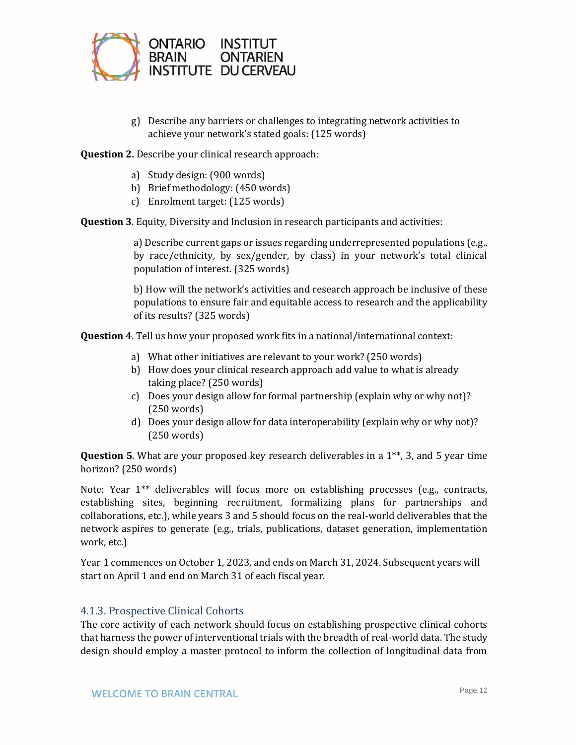

g) Describe any barriers or challenges to integrating network activities to achieve your network's stated goals: (125 words)

**Question 2.** Describe your clinical research approach:

- a) Study design: (900 words)
- b) Brief methodology: (450 words)
- c) Enrolment target: (125 words)

**Question 3**. Equity, Diversity and Inclusion in research participants and activities:

a) Describe current gaps or issues regarding underrepresented populations (e.g., by race/ethnicity, by sex/gender, by class) in your network's total clinical population of interest. (325 words)

b) How will the network's activities and research approach be inclusive of these populations to ensure fair and equitable access to research and the applicability of its results? (325 words)

**Question 4**. Tell us how your proposed work fits in a national/international context:

- a) What other initiatives are relevant to your work? (250 words)
- b) How does your clinical research approach add value to what is already taking place? (250 words)
- c) Does your design allow for formal partnership (explain why or why not)? (250 words)
- d) Does your design allow for data interoperability (explain why or why not)? (250 words)

**Question 5**. What are your proposed key research deliverables in a 1\*\*, 3, and 5 year time horizon? (250 words)

Note: Year 1\*\* deliverables will focus more on establishing processes (e.g., contracts, establishing sites, beginning recruitment, formalizing plans for partnerships and collaborations, etc.), while years 3 and 5 should focus on the real-world deliverables that the network aspires to generate (e.g., trials, publications, dataset generation, implementation work, etc.)

Year 1 commences on October 1, 2023, and ends on March 31, 2024. Subsequent years will start on April 1 and end on March 31 of each fiscal year.

#### <span id="page-11-0"></span>4.1.3. Prospective Clinical Cohorts

The core activity of each network should focus on establishing prospective clinical cohorts that harness the power of interventional trials with the breadth of real-world data. The study design should employ a master protocol to inform the collection of longitudinal data from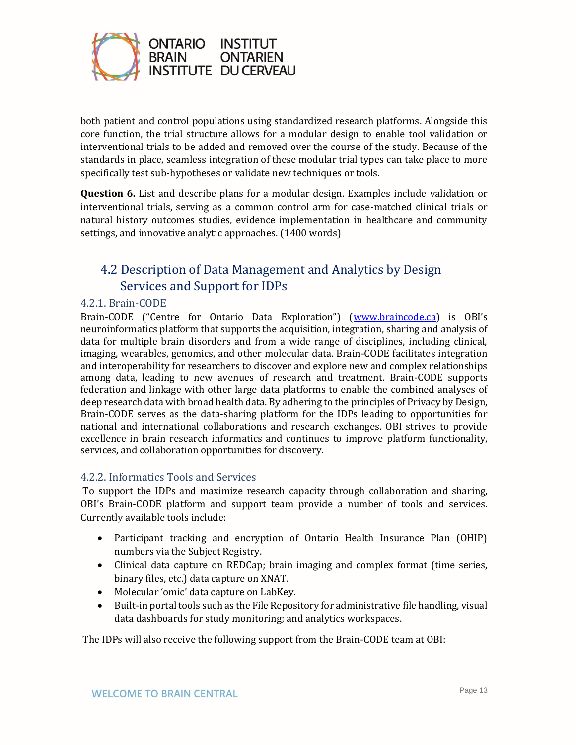

both patient and control populations using standardized research platforms. Alongside this core function, the trial structure allows for a modular design to enable tool validation or interventional trials to be added and removed over the course of the study. Because of the standards in place, seamless integration of these modular trial types can take place to more specifically test sub-hypotheses or validate new techniques or tools.

**Question 6.** List and describe plans for a modular design. Examples include validation or interventional trials, serving as a common control arm for case-matched clinical trials or natural history outcomes studies, evidence implementation in healthcare and community settings, and innovative analytic approaches. (1400 words)

### <span id="page-12-0"></span>4.2 Description of Data Management and Analytics by Design Services and Support for IDPs

#### <span id="page-12-1"></span>4.2.1. Brain-CODE

Brain-CODE ("Centre for Ontario Data Exploration") ([www.braincode.ca](http://www.braincode.ca/)) is OBI's neuroinformatics platform that supports the acquisition, integration, sharing and analysis of data for multiple brain disorders and from a wide range of disciplines, including clinical, imaging, wearables, genomics, and other molecular data. Brain-CODE facilitates integration and interoperability for researchers to discover and explore new and complex relationships among data, leading to new avenues of research and treatment. Brain-CODE supports federation and linkage with other large data platforms to enable the combined analyses of deep research data with broad health data. By adhering to the principles of Privacy by Design, Brain-CODE serves as the data-sharing platform for the IDPs leading to opportunities for national and international collaborations and research exchanges. OBI strives to provide excellence in brain research informatics and continues to improve platform functionality, services, and collaboration opportunities for discovery.

#### <span id="page-12-2"></span>4.2.2. Informatics Tools and Services

To support the IDPs and maximize research capacity through collaboration and sharing, OBI's Brain-CODE platform and support team provide a number of tools and services. Currently available tools include:

- Participant tracking and encryption of Ontario Health Insurance Plan (OHIP) numbers via the Subject Registry.
- Clinical data capture on REDCap; brain imaging and complex format (time series, binary files, etc.) data capture on XNAT.
- Molecular 'omic' data capture on LabKey.
- Built-in portal tools such as the File Repository for administrative file handling, visual data dashboards for study monitoring; and analytics workspaces.

The IDPs will also receive the following support from the Brain-CODE team at OBI: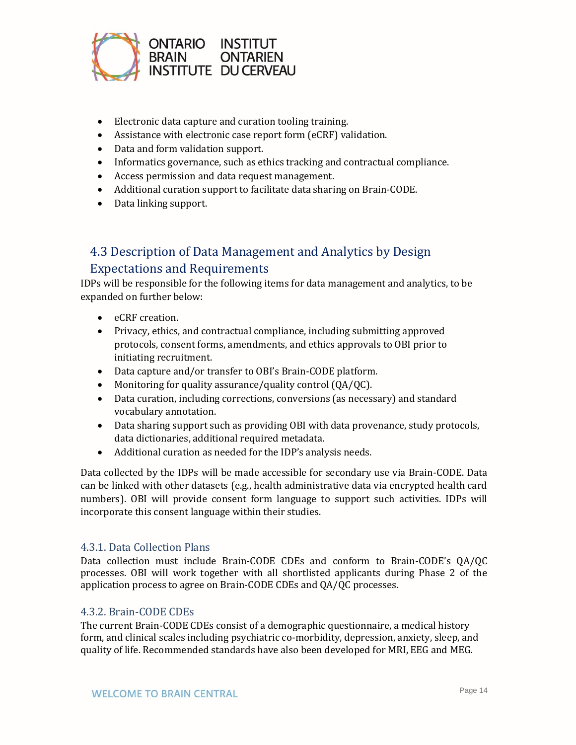

- Electronic data capture and curation tooling training.
- Assistance with electronic case report form (eCRF) validation.
- Data and form validation support.
- Informatics governance, such as ethics tracking and contractual compliance.
- Access permission and data request management.
- Additional curation support to facilitate data sharing on Brain-CODE.
- Data linking support.

### <span id="page-13-0"></span>4.3 Description of Data Management and Analytics by Design Expectations and Requirements

IDPs will be responsible for the following items for data management and analytics, to be expanded on further below:

- eCRF creation.
- Privacy, ethics, and contractual compliance, including submitting approved protocols, consent forms, amendments, and ethics approvals to OBI prior to initiating recruitment.
- Data capture and/or transfer to OBI's Brain-CODE platform.
- Monitoring for quality assurance/quality control (QA/QC).
- Data curation, including corrections, conversions (as necessary) and standard vocabulary annotation.
- Data sharing support such as providing OBI with data provenance, study protocols, data dictionaries, additional required metadata.
- Additional curation as needed for the IDP's analysis needs.

Data collected by the IDPs will be made accessible for secondary use via Brain-CODE. Data can be linked with other datasets (e.g., health administrative data via encrypted health card numbers). OBI will provide consent form language to support such activities. IDPs will incorporate this consent language within their studies.

#### <span id="page-13-1"></span>4.3.1. Data Collection Plans

Data collection must include Brain-CODE CDEs and conform to Brain-CODE's QA/QC processes. OBI will work together with all shortlisted applicants during Phase 2 of the application process to agree on Brain-CODE CDEs and QA/QC processes.

#### <span id="page-13-2"></span>4.3.2. Brain-CODE CDEs

The current Brain-CODE CDEs consist of a demographic questionnaire, a medical history form, and clinical scales including psychiatric co-morbidity, depression, anxiety, sleep, and quality of life. Recommended standards have also been developed for MRI, EEG and MEG.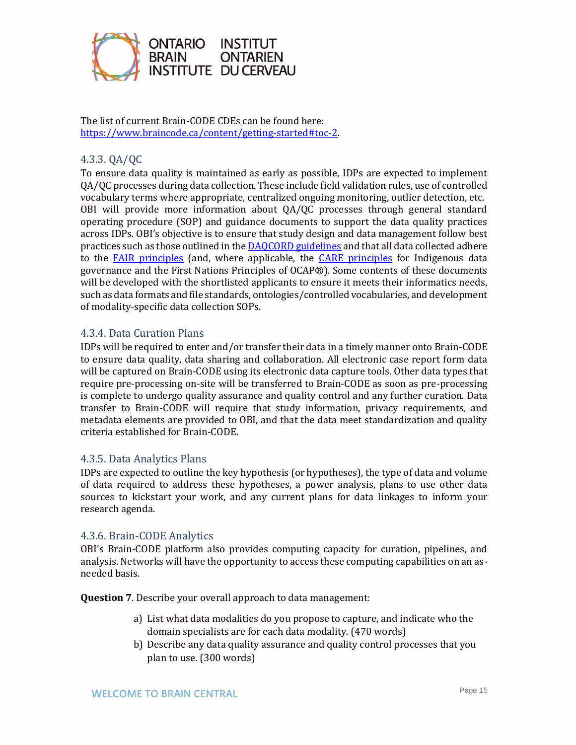

The list of current Brain-CODE CDEs can be found here: [https://www.braincode.ca/content/getting-started#toc-2.](https://www.braincode.ca/content/getting-started#toc-2)

#### <span id="page-14-0"></span>4.3.3. QA/QC

To ensure data quality is maintained as early as possible, IDPs are expected to implement QA/QC processes during data collection. These include field validation rules, use of controlled vocabulary terms where appropriate, centralized ongoing monitoring, outlier detection, etc. OBI will provide more information about QA/QC processes through general standard operating procedure (SOP) and guidance documents to support the data quality practices across IDPs. OBI's objective is to ensure that study design and data management follow best practices such as those outlined in th[e DAQCORD guidelines](https://doi.org/10.1017/cts.2020.24) and that all data collected adhere to the [FAIR principles](https://www.go-fair.org/fair-principles/) (and, where applicable, the [CARE principles](https://static1.squarespace.com/static/5d3799de845604000199cd24/t/5da9f4479ecab221ce848fb2/1571419335217/CARE+Principles_One+Pagers+FINAL_Oct_17_2019.pdf) for Indigenous data governance and the [First Nations Principles of OCAP®\)](https://fnigc.ca/ocap-training/). Some contents of these documents will be developed with the shortlisted applicants to ensure it meets their informatics needs, such as data formats and file standards, ontologies/controlled vocabularies, and development of modality-specific data collection SOPs.

#### <span id="page-14-1"></span>4.3.4. Data Curation Plans

IDPs will be required to enter and/or transfer their data in a timely manner onto Brain-CODE to ensure data quality, data sharing and collaboration. All electronic case report form data will be captured on Brain-CODE using its electronic data capture tools. Other data types that require pre-processing on-site will be transferred to Brain-CODE as soon as pre-processing is complete to undergo quality assurance and quality control and any further curation. Data transfer to Brain-CODE will require that study information, privacy requirements, and metadata elements are provided to OBI, and that the data meet standardization and quality criteria established for Brain-CODE.

#### <span id="page-14-2"></span>4.3.5. Data Analytics Plans

IDPs are expected to outline the key hypothesis (or hypotheses), the type of data and volume of data required to address these hypotheses, a power analysis, plans to use other data sources to kickstart your work, and any current plans for data linkages to inform your research agenda.

#### <span id="page-14-3"></span>4.3.6. Brain-CODE Analytics

OBI's Brain-CODE platform also provides computing capacity for curation, pipelines, and analysis. Networks will have the opportunity to access these computing capabilities on an asneeded basis.

**Question 7**. Describe your overall approach to data management:

- a) List what data modalities do you propose to capture, and indicate who the domain specialists are for each data modality. (470 words)
- b) Describe any data quality assurance and quality control processes that you plan to use. (300 words)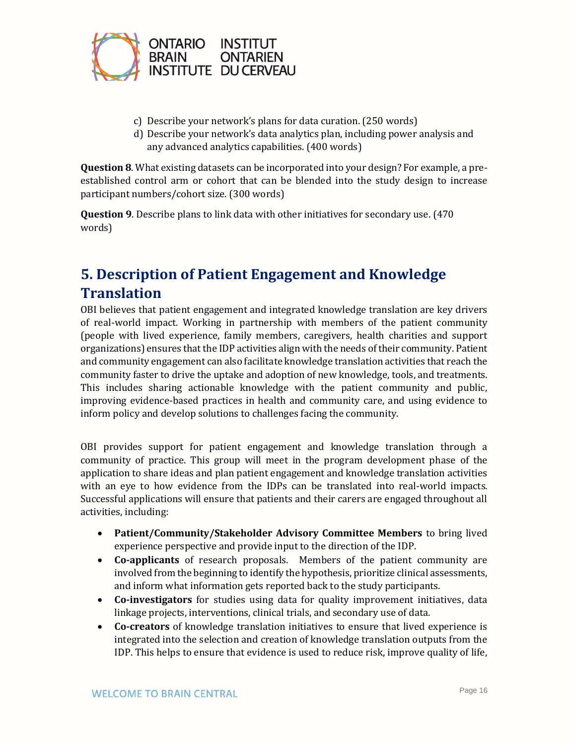

- c) Describe your network's plans for data curation. (250 words)
- d) Describe your network's data analytics plan, including power analysis and any advanced analytics capabilities. (400 words)

**Question 8**. What existing datasets can be incorporated into your design? For example, a preestablished control arm or cohort that can be blended into the study design to increase participant numbers/cohort size. (300 words)

**Question 9**. Describe plans to link data with other initiatives for secondary use. (470 words)

# <span id="page-15-0"></span>**5. Description of Patient Engagement and Knowledge Translation**

OBI believes that patient engagement and integrated knowledge translation are key drivers of real-world impact. Working in partnership with members of the patient community (people with lived experience, family members, caregivers, health charities and support organizations) ensures that the IDP activities align with the needs of their community. Patient and community engagement can also facilitate knowledge translation activities that reach the community faster to drive the uptake and adoption of new knowledge, tools, and treatments. This includes sharing actionable knowledge with the patient community and public, improving evidence-based practices in health and community care, and using evidence to inform policy and develop solutions to challenges facing the community.

OBI provides support for patient engagement and knowledge translation through a community of practice. This group will meet in the program development phase of the application to share ideas and plan patient engagement and knowledge translation activities with an eye to how evidence from the IDPs can be translated into real-world impacts. Successful applications will ensure that patients and their carers are engaged throughout all activities, including:

- **Patient/Community/Stakeholder Advisory Committee Members** to bring lived experience perspective and provide input to the direction of the IDP.
- **Co-applicants** of research proposals. Members of the patient community are involved from the beginning to identify the hypothesis, prioritize clinical assessments, and inform what information gets reported back to the study participants.
- **Co-investigators** for studies using data for quality improvement initiatives, data linkage projects, interventions, clinical trials, and secondary use of data.
- **Co-creators** of knowledge translation initiatives to ensure that lived experience is integrated into the selection and creation of knowledge translation outputs from the IDP. This helps to ensure that evidence is used to reduce risk, improve quality of life,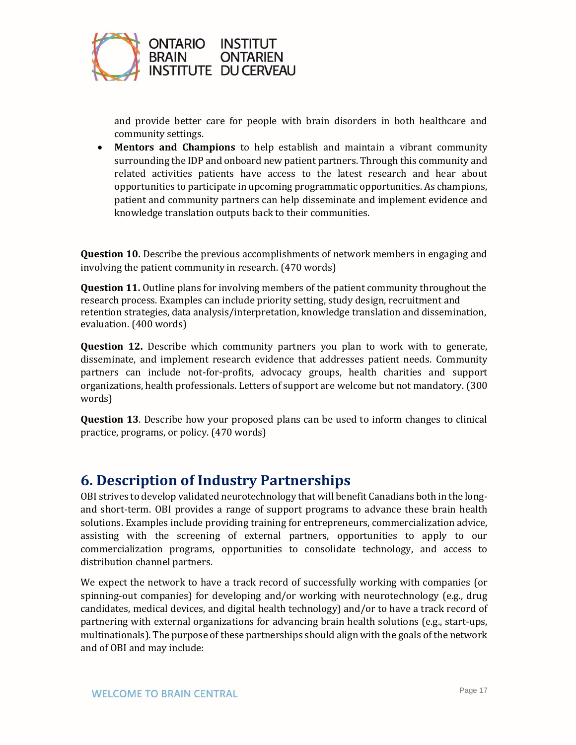

and provide better care for people with brain disorders in both healthcare and community settings.

• **Mentors and Champions** to help establish and maintain a vibrant community surrounding the IDP and onboard new patient partners. Through this community and related activities patients have access to the latest research and hear about opportunities to participate in upcoming programmatic opportunities. As champions, patient and community partners can help disseminate and implement evidence and knowledge translation outputs back to their communities.

**Question 10.** Describe the previous accomplishments of network members in engaging and involving the patient community in research. (470 words)

**Question 11.** Outline plans for involving members of the patient community throughout the research process. Examples can include priority setting, study design, recruitment and retention strategies, data analysis/interpretation, knowledge translation and dissemination, evaluation. (400 words)

**Question 12.** Describe which community partners you plan to work with to generate, disseminate, and implement research evidence that addresses patient needs. Community partners can include not-for-profits, advocacy groups, health charities and support organizations, health professionals. Letters of support are welcome but not mandatory. (300 words)

**Question 13**. Describe how your proposed plans can be used to inform changes to clinical practice, programs, or policy. (470 words)

### <span id="page-16-0"></span>**6. Description of Industry Partnerships**

OBI strives to develop validated neurotechnology that will benefit Canadians both in the longand short-term. OBI provides a range of support programs to advance these brain health solutions. Examples include providing training for entrepreneurs, commercialization advice, assisting with the screening of external partners, opportunities to apply to our commercialization programs, opportunities to consolidate technology, and access to distribution channel partners.

We expect the network to have a track record of successfully working with companies (or spinning-out companies) for developing and/or working with neurotechnology (e.g., drug candidates, medical devices, and digital health technology) and/or to have a track record of partnering with external organizations for advancing brain health solutions (e.g., start-ups, multinationals). The purpose of these partnerships should align with the goals of the network and of OBI and may include: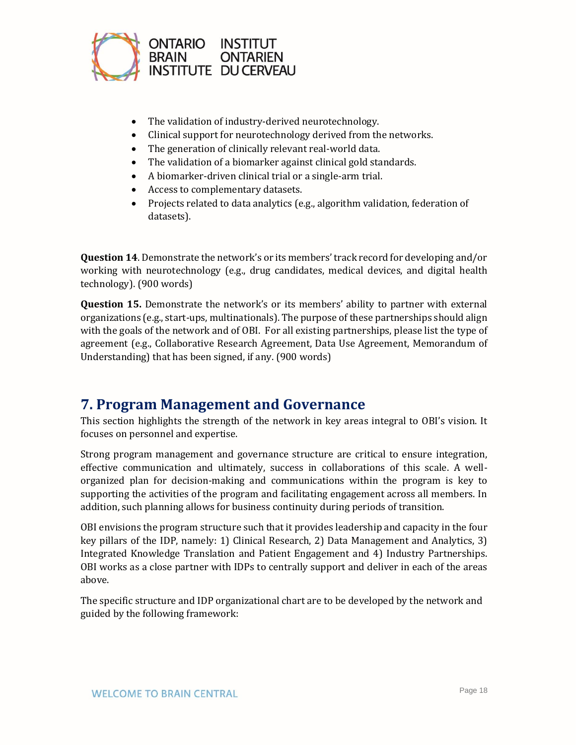

- The validation of industry-derived neurotechnology.
- Clinical support for neurotechnology derived from the networks.
- The generation of clinically relevant real-world data.
- The validation of a biomarker against clinical gold standards.
- A biomarker-driven clinical trial or a single-arm trial.
- Access to complementary datasets.
- Projects related to data analytics (e.g., algorithm validation, federation of datasets).

**Question 14**. Demonstrate the network's or its members' track record for developing and/or working with neurotechnology (e.g., drug candidates, medical devices, and digital health technology). (900 words)

**Question 15.** Demonstrate the network's or its members' ability to partner with external organizations (e.g., start-ups, multinationals). The purpose of these partnerships should align with the goals of the network and of OBI. For all existing partnerships, please list the type of agreement (e.g., Collaborative Research Agreement, Data Use Agreement, Memorandum of Understanding) that has been signed, if any. (900 words)

### <span id="page-17-0"></span>**7. Program Management and Governance**

This section highlights the strength of the network in key areas integral to OBI's vision. It focuses on personnel and expertise.

Strong program management and governance structure are critical to ensure integration, effective communication and ultimately, success in collaborations of this scale. A wellorganized plan for decision-making and communications within the program is key to supporting the activities of the program and facilitating engagement across all members. In addition, such planning allows for business continuity during periods of transition.

OBI envisions the program structure such that it provides leadership and capacity in the four key pillars of the IDP, namely: 1) Clinical Research, 2) Data Management and Analytics, 3) Integrated Knowledge Translation and Patient Engagement and 4) Industry Partnerships. OBI works as a close partner with IDPs to centrally support and deliver in each of the areas above.

The specific structure and IDP organizational chart are to be developed by the network and guided by the following framework: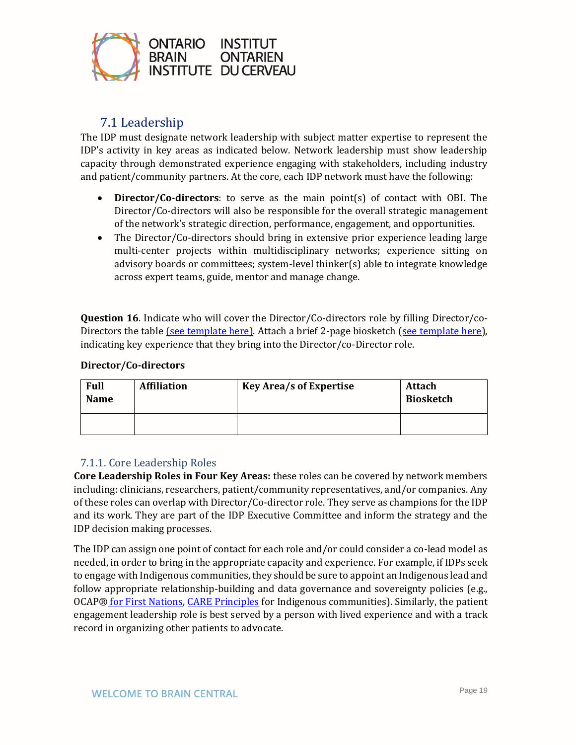

### 7.1 Leadership

<span id="page-18-0"></span>The IDP must designate network leadership with subject matter expertise to represent the IDP's activity in key areas as indicated below. Network leadership must show leadership capacity through demonstrated experience engaging with stakeholders, including industry and patient/community partners. At the core, each IDP network must have the following:

- **Director/Co-directors**: to serve as the main point(s) of contact with OBI. The Director/Co-directors will also be responsible for the overall strategic management of the network's strategic direction, performance, engagement, and opportunities.
- The Director/Co-directors should bring in extensive prior experience leading large multi-center projects within multidisciplinary networks; experience sitting on advisory boards or committees; system-level thinker(s) able to integrate knowledge across expert teams, guide, mentor and manage change.

**Question 16.** Indicate who will cover the Director/Co-directors role by filling Director/co-Directors the table [\(see template here\).](https://docs.google.com/spreadsheets/d/1GdepWjV-FM3Rac3arB2APhHyGnyhGpp9/edit?usp=sharing&ouid=101345747594340105347&rtpof=true&sd=true) Attach a brief 2-page biosketch [\(see template here\)](https://braininstitute.ca/docs/OBI-Biosketch-Template.docx), indicating key experience that they bring into the Director/co-Director role.

#### **Director/Co-directors**

| <b>Full</b><br><b>Name</b> | <b>Affiliation</b> | <b>Key Area/s of Expertise</b> | Attach<br>Biosketch |
|----------------------------|--------------------|--------------------------------|---------------------|
|                            |                    |                                |                     |

#### <span id="page-18-1"></span>7.1.1. Core Leadership Roles

**Core Leadership Roles in Four Key Areas:** these roles can be covered by network members including: clinicians, researchers, patient/community representatives, and/or companies. Any of these roles can overlap with Director/Co-director role. They serve as champions for the IDP and its work. They are part of the IDP Executive Committee and inform the strategy and the IDP decision making processes.

The IDP can assign one point of contact for each role and/or could consider a co-lead model as needed, in order to bring in the appropriate capacity and experience. For example, if IDPs seek to engage with Indigenous communities, they should be sure to appoint an Indigenous lead and follow appropriate relationship-building and data governance and sovereignty policies (e.g., OCAP® [for First Nations,](https://fnigc.ca/ocap-training/) [CARE Principles](https://static1.squarespace.com/static/5d3799de845604000199cd24/t/5da9f4479ecab221ce848fb2/1571419335217/CARE+Principles_One+Pagers+FINAL_Oct_17_2019.pdf) for Indigenous communities). Similarly, the patient engagement leadership role is best served by a person with lived experience and with a track record in organizing other patients to advocate.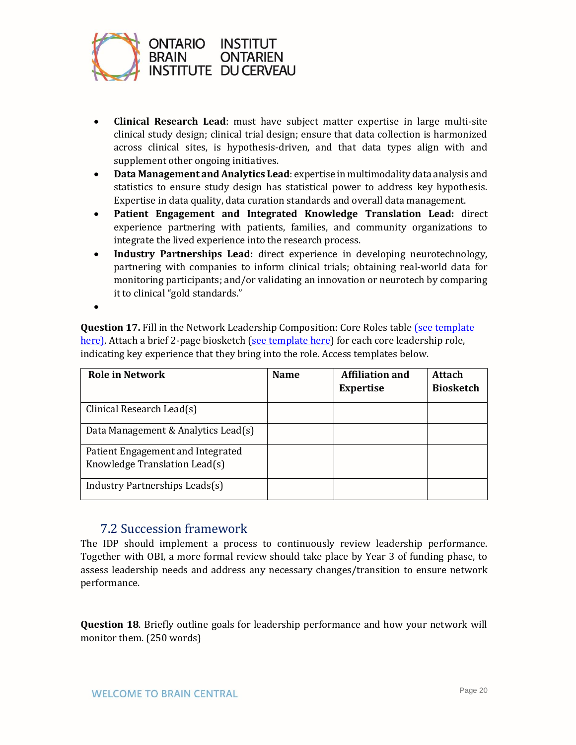

- **Clinical Research Lead**: must have subject matter expertise in large multi-site clinical study design; clinical trial design; ensure that data collection is harmonized across clinical sites, is hypothesis-driven, and that data types align with and supplement other ongoing initiatives.
- **Data Management and Analytics Lead**: expertise in multimodality data analysis and statistics to ensure study design has statistical power to address key hypothesis. Expertise in data quality, data curation standards and overall data management.
- **Patient Engagement and Integrated Knowledge Translation Lead:** direct experience partnering with patients, families, and community organizations to integrate the lived experience into the research process.
- **Industry Partnerships Lead:** direct experience in developing neurotechnology, partnering with companies to inform clinical trials; obtaining real-world data for monitoring participants; and/or validating an innovation or neurotech by comparing it to clinical "gold standards."
- •

**Question 17.** Fill in the Network Leadership Composition: Core Roles table (see template [here\).](https://docs.google.com/spreadsheets/d/1DSx9aDcMwSph_QfcWsy7MN_xiFkaQs0z/edit?usp=sharing&ouid=101345747594340105347&rtpof=true&sd=true) Attach a brief 2-page biosketch [\(see template here\)](https://braininstitute.ca/docs/OBI-Biosketch-Template.docx) for each core leadership role, indicating key experience that they bring into the role. Access templates below.

| <b>Role in Network</b>                                             | <b>Name</b> | <b>Affiliation and</b><br><b>Expertise</b> | Attach<br><b>Biosketch</b> |
|--------------------------------------------------------------------|-------------|--------------------------------------------|----------------------------|
| Clinical Research Lead(s)                                          |             |                                            |                            |
| Data Management & Analytics Lead(s)                                |             |                                            |                            |
| Patient Engagement and Integrated<br>Knowledge Translation Lead(s) |             |                                            |                            |
| Industry Partnerships Leads(s)                                     |             |                                            |                            |

### 7.2 Succession framework

<span id="page-19-0"></span>The IDP should implement a process to continuously review leadership performance. Together with OBI, a more formal review should take place by Year 3 of funding phase, to assess leadership needs and address any necessary changes/transition to ensure network performance.

**Question 18**. Briefly outline goals for leadership performance and how your network will monitor them. (250 words)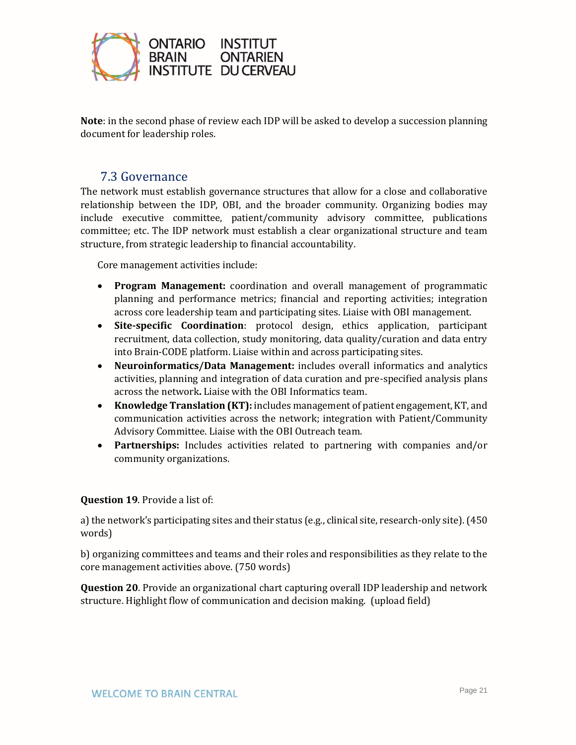

**Note**: in the second phase of review each IDP will be asked to develop a succession planning document for leadership roles.

### 7.3 Governance

<span id="page-20-0"></span>The network must establish governance structures that allow for a close and collaborative relationship between the IDP, OBI, and the broader community. Organizing bodies may include executive committee, patient/community advisory committee, publications committee; etc. The IDP network must establish a clear organizational structure and team structure, from strategic leadership to financial accountability.

Core management activities include:

- **Program Management:** coordination and overall management of programmatic planning and performance metrics; financial and reporting activities; integration across core leadership team and participating sites. Liaise with OBI management.
- **Site-specific Coordination**: protocol design, ethics application, participant recruitment, data collection, study monitoring, data quality/curation and data entry into Brain-CODE platform. Liaise within and across participating sites.
- **Neuroinformatics/Data Management:** includes overall informatics and analytics activities, planning and integration of data curation and pre-specified analysis plans across the network**.** Liaise with the OBI Informatics team.
- **Knowledge Translation (KT):** includes management of patient engagement, KT, and communication activities across the network; integration with Patient/Community Advisory Committee. Liaise with the OBI Outreach team.
- **Partnerships:** Includes activities related to partnering with companies and/or community organizations.

#### **Question 19**. Provide a list of:

a) the network's participating sites and their status (e.g., clinical site, research-only site). (450 words)

b) organizing committees and teams and their roles and responsibilities as they relate to the core management activities above. (750 words)

**Question 20**. Provide an organizational chart capturing overall IDP leadership and network structure. Highlight flow of communication and decision making. (upload field)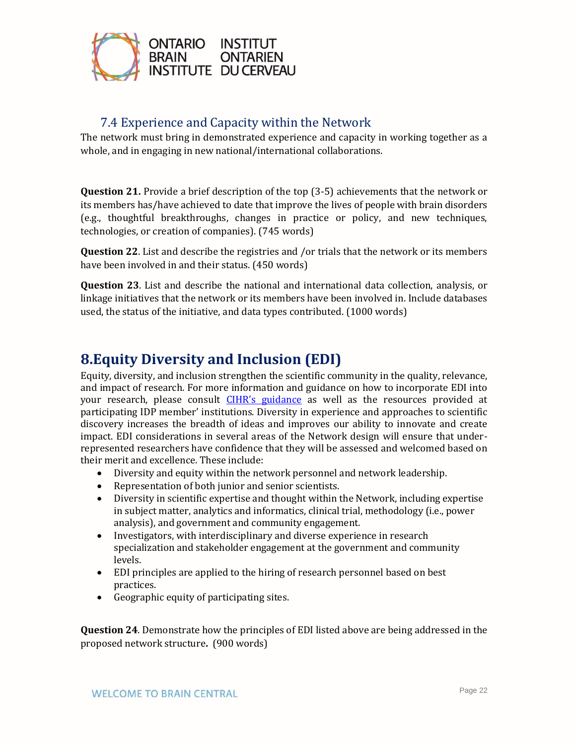

### 7.4 Experience and Capacity within the Network

<span id="page-21-0"></span>The network must bring in demonstrated experience and capacity in working together as a whole, and in engaging in new national/international collaborations.

**Question 21.** Provide a brief description of the top (3-5) achievements that the network or its members has/have achieved to date that improve the lives of people with brain disorders (e.g., thoughtful breakthroughs, changes in practice or policy, and new techniques, technologies, or creation of companies). (745 words)

**Question 22**. List and describe the registries and /or trials that the network or its members have been involved in and their status. (450 words)

**Question 23**. List and describe the national and international data collection, analysis, or linkage initiatives that the network or its members have been involved in. Include databases used, the status of the initiative, and data types contributed. (1000 words)

# <span id="page-21-1"></span>**8.Equity Diversity and Inclusion (EDI)**

Equity, diversity, and inclusion strengthen the scientific community in the quality, relevance, and impact of research. For more information and guidance on how to incorporate EDI into your research, please consult [CIHR's guidance](https://cihr-irsc.gc.ca/e/52543.html) as well as the resources provided at participating IDP member' institutions. Diversity in experience and approaches to scientific discovery increases the breadth of ideas and improves our ability to innovate and create impact. EDI considerations in several areas of the Network design will ensure that underrepresented researchers have confidence that they will be assessed and welcomed based on their merit and excellence. These include:

- Diversity and equity within the network personnel and network leadership.
- Representation of both junior and senior scientists.
- Diversity in scientific expertise and thought within the Network, including expertise in subject matter, analytics and informatics, clinical trial, methodology (i.e., power analysis), and government and community engagement.
- Investigators, with interdisciplinary and diverse experience in research specialization and stakeholder engagement at the government and community levels.
- EDI principles are applied to the hiring of research personnel based on best practices.
- Geographic equity of participating sites.

**Question 24**. Demonstrate how the principles of EDI listed above are being addressed in the proposed network structure**.** (900 words)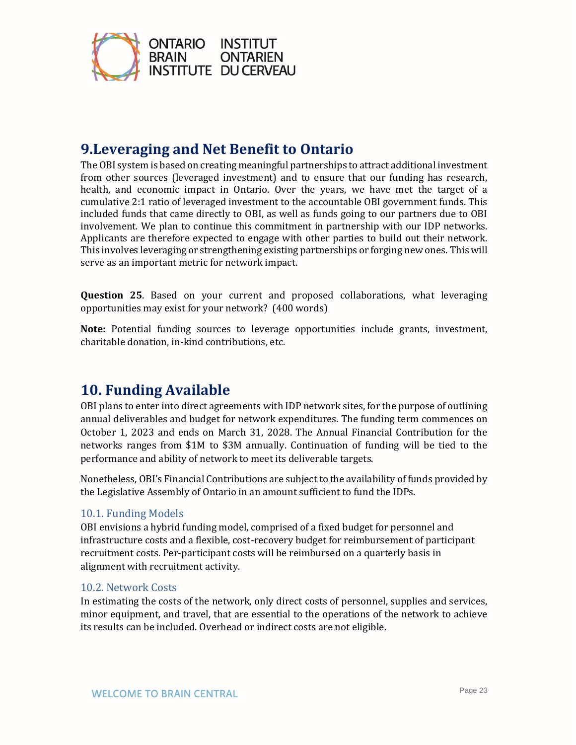

# <span id="page-22-0"></span>**9.Leveraging and Net Benefit to Ontario**

The OBI system is based on creating meaningful partnerships to attract additional investment from other sources (leveraged investment) and to ensure that our funding has research, health, and economic impact in Ontario. Over the years, we have met the target of a cumulative 2:1 ratio of leveraged investment to the accountable OBI government funds. This included funds that came directly to OBI, as well as funds going to our partners due to OBI involvement. We plan to continue this commitment in partnership with our IDP networks. Applicants are therefore expected to engage with other parties to build out their network. This involves leveraging or strengthening existing partnerships or forging new ones. This will serve as an important metric for network impact.

**Question 25**. Based on your current and proposed collaborations, what leveraging opportunities may exist for your network? (400 words)

**Note:** Potential funding sources to leverage opportunities include grants, investment, charitable donation, in-kind contributions, etc.

## <span id="page-22-1"></span>**10. Funding Available**

OBI plans to enter into direct agreements with IDP network sites, for the purpose of outlining annual deliverables and budget for network expenditures. The funding term commences on October 1, 2023 and ends on March 31, 2028. The Annual Financial Contribution for the networks ranges from \$1M to \$3M annually. Continuation of funding will be tied to the performance and ability of network to meet its deliverable targets.

Nonetheless, OBI's Financial Contributions are subject to the availability of funds provided by the Legislative Assembly of Ontario in an amount sufficient to fund the IDPs.

#### <span id="page-22-2"></span>10.1. Funding Models

OBI envisions a hybrid funding model, comprised of a fixed budget for personnel and infrastructure costs and a flexible, cost-recovery budget for reimbursement of participant recruitment costs. Per-participant costs will be reimbursed on a quarterly basis in alignment with recruitment activity.

#### <span id="page-22-3"></span>10.2. Network Costs

In estimating the costs of the network, only direct costs of personnel, supplies and services, minor equipment, and travel, that are essential to the operations of the network to achieve its results can be included. Overhead or indirect costs are not eligible.